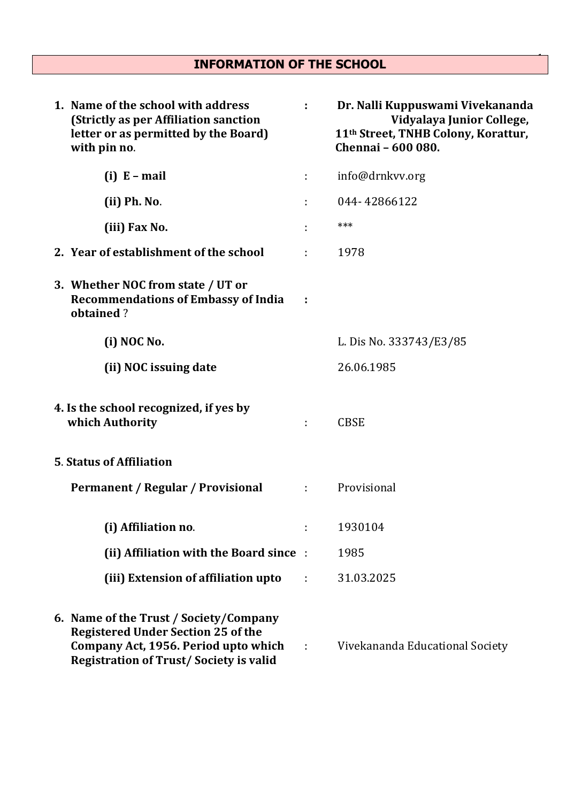# <sup>1</sup>INFORMATION OF THE SCHOOL

| 1. Name of the school with address<br>(Strictly as per Affiliation sanction<br>letter or as permitted by the Board)<br>with pin no.                                          | ÷            | Dr. Nalli Kuppuswami Vivekananda<br>Vidyalaya Junior College,<br>11th Street, TNHB Colony, Korattur,<br>Chennai - 600 080. |
|------------------------------------------------------------------------------------------------------------------------------------------------------------------------------|--------------|----------------------------------------------------------------------------------------------------------------------------|
| $(i) E-mail$                                                                                                                                                                 | ÷            | info@drnkvv.org                                                                                                            |
| (ii) Ph. No.                                                                                                                                                                 | ÷            | 044-42866122                                                                                                               |
| (iii) Fax No.                                                                                                                                                                |              | ***                                                                                                                        |
| 2. Year of establishment of the school                                                                                                                                       | ÷            | 1978                                                                                                                       |
| 3. Whether NOC from state / UT or<br><b>Recommendations of Embassy of India</b><br>obtained?                                                                                 | ÷            |                                                                                                                            |
| (i) NOC No.                                                                                                                                                                  |              | L. Dis No. 333743/E3/85                                                                                                    |
| (ii) NOC issuing date                                                                                                                                                        |              | 26.06.1985                                                                                                                 |
| 4. Is the school recognized, if yes by<br>which Authority                                                                                                                    | ÷            | <b>CBSE</b>                                                                                                                |
| <b>5. Status of Affiliation</b>                                                                                                                                              |              |                                                                                                                            |
| Permanent / Regular / Provisional                                                                                                                                            | $\mathbf{r}$ | Provisional                                                                                                                |
| (i) Affiliation no.                                                                                                                                                          | ÷            | 1930104                                                                                                                    |
| (ii) Affiliation with the Board since:                                                                                                                                       |              | 1985                                                                                                                       |
| (iii) Extension of affiliation upto                                                                                                                                          |              | 31.03.2025                                                                                                                 |
| 6. Name of the Trust / Society/Company<br><b>Registered Under Section 25 of the</b><br>Company Act, 1956. Period upto which<br><b>Registration of Trust/Society is valid</b> | $\sim 1$     | Vivekananda Educational Society                                                                                            |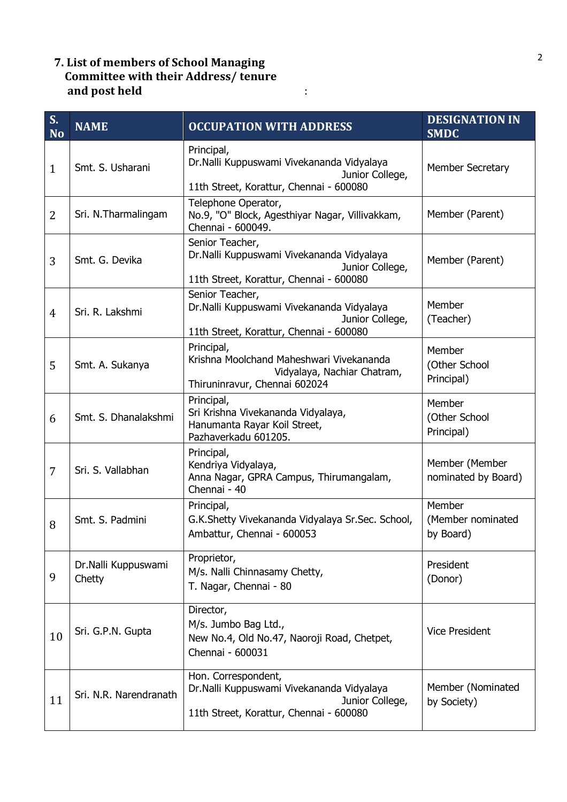## <sup>2</sup>7. List of members of School Managing Committee with their Address/ tenure and post held in the set of the set of the set of the set of the set of the set of the set of the set of the s

| S.<br><b>No</b> | <b>NAME</b>                   | <b>OCCUPATION WITH ADDRESS</b>                                                                                                 | <b>DESIGNATION IN</b><br><b>SMDC</b>     |
|-----------------|-------------------------------|--------------------------------------------------------------------------------------------------------------------------------|------------------------------------------|
| $\mathbf{1}$    | Smt. S. Usharani              | Principal,<br>Dr.Nalli Kuppuswami Vivekananda Vidyalaya<br>Junior College,<br>11th Street, Korattur, Chennai - 600080          | <b>Member Secretary</b>                  |
| 2               | Sri. N.Tharmalingam           | Telephone Operator,<br>No.9, "O" Block, Agesthiyar Nagar, Villivakkam,<br>Chennai - 600049.                                    | Member (Parent)                          |
| 3               | Smt. G. Devika                | Senior Teacher,<br>Dr.Nalli Kuppuswami Vivekananda Vidyalaya<br>Junior College,<br>11th Street, Korattur, Chennai - 600080     | Member (Parent)                          |
| $\overline{4}$  | Sri. R. Lakshmi               | Senior Teacher,<br>Dr.Nalli Kuppuswami Vivekananda Vidyalaya<br>Junior College,<br>11th Street, Korattur, Chennai - 600080     | Member<br>(Teacher)                      |
| 5               | Smt. A. Sukanya               | Principal,<br>Krishna Moolchand Maheshwari Vivekananda<br>Vidyalaya, Nachiar Chatram,<br>Thiruninravur, Chennai 602024         | Member<br>(Other School<br>Principal)    |
| 6               | Smt. S. Dhanalakshmi          | Principal,<br>Sri Krishna Vivekananda Vidyalaya,<br>Hanumanta Rayar Koil Street,<br>Pazhaverkadu 601205.                       | Member<br>(Other School<br>Principal)    |
| $\overline{7}$  | Sri. S. Vallabhan             | Principal,<br>Kendriya Vidyalaya,<br>Anna Nagar, GPRA Campus, Thirumangalam,<br>Chennai - 40                                   | Member (Member<br>nominated by Board)    |
| 8               | Smt. S. Padmini               | Principal,<br>G.K.Shetty Vivekananda Vidyalaya Sr.Sec. School,<br>Ambattur, Chennai - 600053                                   | Member<br>(Member nominated<br>by Board) |
| 9               | Dr.Nalli Kuppuswami<br>Chetty | Proprietor,<br>M/s. Nalli Chinnasamy Chetty,<br>T. Nagar, Chennai - 80                                                         | President<br>(Donor)                     |
| 10              | Sri. G.P.N. Gupta             | Director,<br>M/s. Jumbo Bag Ltd.,<br>New No.4, Old No.47, Naoroji Road, Chetpet,<br>Chennai - 600031                           | <b>Vice President</b>                    |
| 11              | Sri. N.R. Narendranath        | Hon. Correspondent,<br>Dr.Nalli Kuppuswami Vivekananda Vidyalaya<br>Junior College,<br>11th Street, Korattur, Chennai - 600080 | Member (Nominated<br>by Society)         |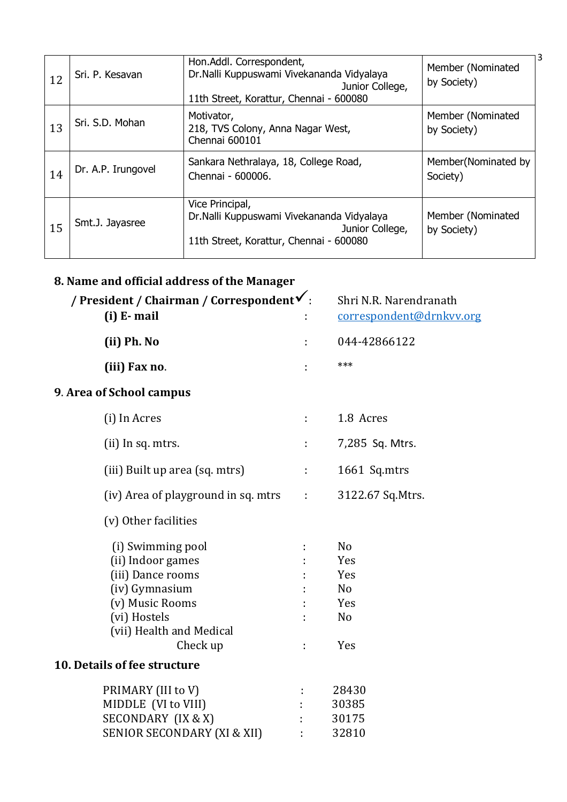| 12 | Sri, P. Kesavan    | Hon.Addl. Correspondent,<br>Dr.Nalli Kuppuswami Vivekananda Vidyalaya<br>Junior College,<br>11th Street, Korattur, Chennai - 600080 | 3<br>Member (Nominated<br>by Society) |
|----|--------------------|-------------------------------------------------------------------------------------------------------------------------------------|---------------------------------------|
| 13 | Sri. S.D. Mohan    | Motivator,<br>218, TVS Colony, Anna Nagar West,<br>Chennai 600101                                                                   | Member (Nominated<br>by Society)      |
| 14 | Dr. A.P. Irungovel | Sankara Nethralaya, 18, College Road,<br>Chennai - 600006.                                                                          | Member(Nominated by<br>Society)       |
| 15 | Smt.J. Jayasree    | Vice Principal,<br>Dr. Nalli Kuppuswami Vivekananda Vidyalaya<br>Junior College,<br>11th Street, Korattur, Chennai - 600080         | Member (Nominated<br>by Society)      |

### 8. Name and official address of the Manager

| / President / Chairman / Correspondent $\checkmark$ :<br>$(i)$ E-mail                                                                                                                    |                       | Shri N.R. Narendranath<br>correspondent@drnkvv.org                             |
|------------------------------------------------------------------------------------------------------------------------------------------------------------------------------------------|-----------------------|--------------------------------------------------------------------------------|
| (ii) Ph. No                                                                                                                                                                              | ÷                     | 044-42866122                                                                   |
| (iii) Fax no.                                                                                                                                                                            |                       | ***                                                                            |
| 9. Area of School campus                                                                                                                                                                 |                       |                                                                                |
| (i) In Acres                                                                                                                                                                             | ÷                     | 1.8 Acres                                                                      |
| (ii) In sq. mtrs.                                                                                                                                                                        | ÷.                    | 7,285 Sq. Mtrs.                                                                |
| (iii) Built up area (sq. mtrs)                                                                                                                                                           | $\mathbb{C}^{\times}$ | 1661 Sq.mtrs                                                                   |
| (iv) Area of playground in sq. mtrs :                                                                                                                                                    |                       | 3122.67 Sq. Mtrs.                                                              |
| (v) Other facilities                                                                                                                                                                     |                       |                                                                                |
| (i) Swimming pool<br>(ii) Indoor games<br>(iii) Dance rooms<br>(iv) Gymnasium<br>(v) Music Rooms<br>(vi) Hostels<br>(vii) Health and Medical<br>Check up<br>10. Details of fee structure | ÷                     | N <sub>o</sub><br>Yes<br>Yes<br>N <sub>o</sub><br>Yes<br>N <sub>0</sub><br>Yes |
|                                                                                                                                                                                          |                       |                                                                                |
| PRIMARY (III to V)<br>MIDDLE (VI to VIII)<br>SECONDARY (IX & X)<br>SENIOR SECONDARY (XI & XII)                                                                                           |                       | 28430<br>30385<br>30175<br>32810                                               |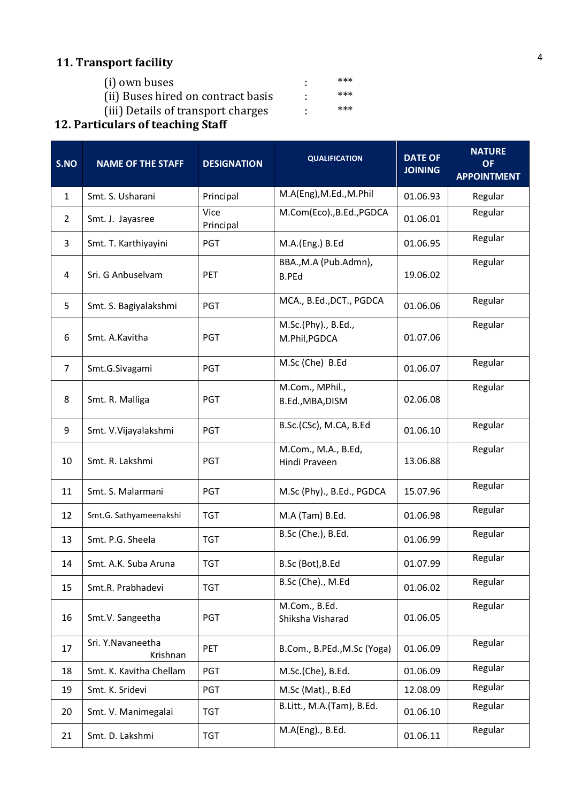# 11. Transport facility

| (i) own buses                      | *** |
|------------------------------------|-----|
| (ii) Buses hired on contract basis | *** |
| (iii) Details of transport charges | *** |

#### 12. Particulars of teaching Staff

| S.NO           | <b>NAME OF THE STAFF</b>      | <b>DESIGNATION</b> | <b>QUALIFICATION</b>                  | <b>DATE OF</b><br><b>JOINING</b> | <b>NATURE</b><br><b>OF</b><br><b>APPOINTMENT</b> |
|----------------|-------------------------------|--------------------|---------------------------------------|----------------------------------|--------------------------------------------------|
| $\mathbf{1}$   | Smt. S. Usharani              | Principal          | M.A(Eng), M.Ed., M.Phil               | 01.06.93                         | Regular                                          |
| $\overline{2}$ | Smt. J. Jayasree              | Vice<br>Principal  | M.Com(Eco)., B.Ed., PGDCA             | 01.06.01                         | Regular                                          |
| 3              | Smt. T. Karthiyayini          | <b>PGT</b>         | M.A.(Eng.) B.Ed                       | 01.06.95                         | Regular                                          |
| 4              | Sri. G Anbuselvam             | PET                | BBA., M.A (Pub.Admn),<br><b>B.PEd</b> | 19.06.02                         | Regular                                          |
| 5              | Smt. S. Bagiyalakshmi         | PGT                | MCA., B.Ed., DCT., PGDCA              | 01.06.06                         | Regular                                          |
| 6              | Smt. A.Kavitha                | <b>PGT</b>         | M.Sc.(Phy)., B.Ed.,<br>M.Phil, PGDCA  | 01.07.06                         | Regular                                          |
| $\overline{7}$ | Smt.G.Sivagami                | PGT                | M.Sc (Che) B.Ed                       | 01.06.07                         | Regular                                          |
| 8              | Smt. R. Malliga               | PGT                | M.Com., MPhil.,<br>B.Ed., MBA, DISM   | 02.06.08                         | Regular                                          |
| 9              | Smt. V. Vijayalakshmi         | PGT                | B.Sc.(CSc), M.CA, B.Ed                | 01.06.10                         | Regular                                          |
| 10             | Smt. R. Lakshmi               | <b>PGT</b>         | M.Com., M.A., B.Ed,<br>Hindi Praveen  | 13.06.88                         | Regular                                          |
| 11             | Smt. S. Malarmani             | PGT                | M.Sc (Phy)., B.Ed., PGDCA             | 15.07.96                         | Regular                                          |
| 12             | Smt.G. Sathyameenakshi        | <b>TGT</b>         | M.A (Tam) B.Ed.                       | 01.06.98                         | Regular                                          |
| 13             | Smt. P.G. Sheela              | <b>TGT</b>         | B.Sc (Che.), B.Ed.                    | 01.06.99                         | Regular                                          |
| 14             | Smt. A.K. Suba Aruna          | <b>TGT</b>         | B.Sc (Bot), B.Ed                      | 01.07.99                         | Regular                                          |
| 15             | Smt.R. Prabhadevi             | <b>TGT</b>         | B.Sc (Che)., M.Ed                     | 01.06.02                         | Regular                                          |
| 16             | Smt.V. Sangeetha              | <b>PGT</b>         | M.Com., B.Ed.<br>Shiksha Visharad     | 01.06.05                         | Regular                                          |
| 17             | Sri. Y.Navaneetha<br>Krishnan | PET                | B.Com., B.PEd., M.Sc (Yoga)           | 01.06.09                         | Regular                                          |
| 18             | Smt. K. Kavitha Chellam       | PGT                | M.Sc.(Che), B.Ed.                     | 01.06.09                         | Regular                                          |
| 19             | Smt. K. Sridevi               | PGT                | M.Sc (Mat)., B.Ed                     | 12.08.09                         | Regular                                          |
| 20             | Smt. V. Manimegalai           | <b>TGT</b>         | B.Litt., M.A.(Tam), B.Ed.             | 01.06.10                         | Regular                                          |
| 21             | Smt. D. Lakshmi               | <b>TGT</b>         | M.A(Eng)., B.Ed.                      | 01.06.11                         | Regular                                          |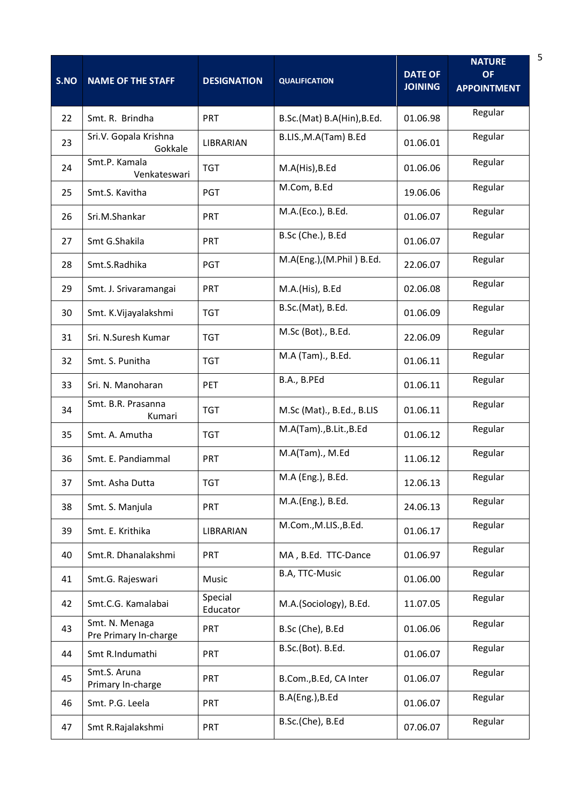| S.NO | <b>NAME OF THE STAFF</b>                | <b>DESIGNATION</b>  | <b>QUALIFICATION</b>       | <b>DATE OF</b><br><b>JOINING</b> | <b>NATURE</b><br><b>OF</b><br><b>APPOINTMENT</b> |
|------|-----------------------------------------|---------------------|----------------------------|----------------------------------|--------------------------------------------------|
| 22   | Smt. R. Brindha                         | PRT                 | B.Sc.(Mat) B.A(Hin), B.Ed. | 01.06.98                         | Regular                                          |
| 23   | Sri.V. Gopala Krishna<br>Gokkale        | LIBRARIAN           | B.LIS., M.A(Tam) B.Ed      | 01.06.01                         | Regular                                          |
| 24   | Smt.P. Kamala<br>Venkateswari           | <b>TGT</b>          | M.A(His), B.Ed             | 01.06.06                         | Regular                                          |
| 25   | Smt.S. Kavitha                          | <b>PGT</b>          | M.Com, B.Ed                | 19.06.06                         | Regular                                          |
| 26   | Sri.M.Shankar                           | <b>PRT</b>          | M.A.(Eco.), B.Ed.          | 01.06.07                         | Regular                                          |
| 27   | Smt G.Shakila                           | PRT                 | B.Sc (Che.), B.Ed          | 01.06.07                         | Regular                                          |
| 28   | Smt.S.Radhika                           | PGT                 | M.A(Eng.),(M.Phil) B.Ed.   | 22.06.07                         | Regular                                          |
| 29   | Smt. J. Srivaramangai                   | <b>PRT</b>          | M.A.(His), B.Ed            | 02.06.08                         | Regular                                          |
| 30   | Smt. K.Vijayalakshmi                    | <b>TGT</b>          | B.Sc.(Mat), B.Ed.          | 01.06.09                         | Regular                                          |
| 31   | Sri. N.Suresh Kumar                     | <b>TGT</b>          | M.Sc (Bot)., B.Ed.         | 22.06.09                         | Regular                                          |
| 32   | Smt. S. Punitha                         | <b>TGT</b>          | M.A (Tam)., B.Ed.          | 01.06.11                         | Regular                                          |
| 33   | Sri. N. Manoharan                       | PET                 | B.A., B.PEd                | 01.06.11                         | Regular                                          |
| 34   | Smt. B.R. Prasanna<br>Kumari            | <b>TGT</b>          | M.Sc (Mat)., B.Ed., B.LIS  | 01.06.11                         | Regular                                          |
| 35   | Smt. A. Amutha                          | <b>TGT</b>          | M.A(Tam)., B.Lit., B.Ed    | 01.06.12                         | Regular                                          |
| 36   | Smt. E. Pandiammal                      | <b>PRT</b>          | M.A(Tam)., M.Ed            | 11.06.12                         | Regular                                          |
| 37   | Smt. Asha Dutta                         | <b>TGT</b>          | M.A (Eng.), B.Ed.          | 12.06.13                         | Regular                                          |
| 38   | Smt. S. Manjula                         | <b>PRT</b>          | M.A.(Eng.), B.Ed.          | 24.06.13                         | Regular                                          |
| 39   | Smt. E. Krithika                        | LIBRARIAN           | M.Com., M.LIS., B.Ed.      | 01.06.17                         | Regular                                          |
| 40   | Smt.R. Dhanalakshmi                     | <b>PRT</b>          | MA, B.Ed. TTC-Dance        | 01.06.97                         | Regular                                          |
| 41   | Smt.G. Rajeswari                        | Music               | B.A, TTC-Music             | 01.06.00                         | Regular                                          |
| 42   | Smt.C.G. Kamalabai                      | Special<br>Educator | M.A.(Sociology), B.Ed.     | 11.07.05                         | Regular                                          |
| 43   | Smt. N. Menaga<br>Pre Primary In-charge | <b>PRT</b>          | B.Sc (Che), B.Ed           | 01.06.06                         | Regular                                          |
| 44   | Smt R.Indumathi                         | <b>PRT</b>          | B.Sc.(Bot). B.Ed.          | 01.06.07                         | Regular                                          |
| 45   | Smt.S. Aruna<br>Primary In-charge       | <b>PRT</b>          | B.Com., B.Ed, CA Inter     | 01.06.07                         | Regular                                          |
| 46   | Smt. P.G. Leela                         | <b>PRT</b>          | B.A(Eng.), B.Ed            | 01.06.07                         | Regular                                          |
| 47   | Smt R.Rajalakshmi                       | <b>PRT</b>          | B.Sc.(Che), B.Ed           | 07.06.07                         | Regular                                          |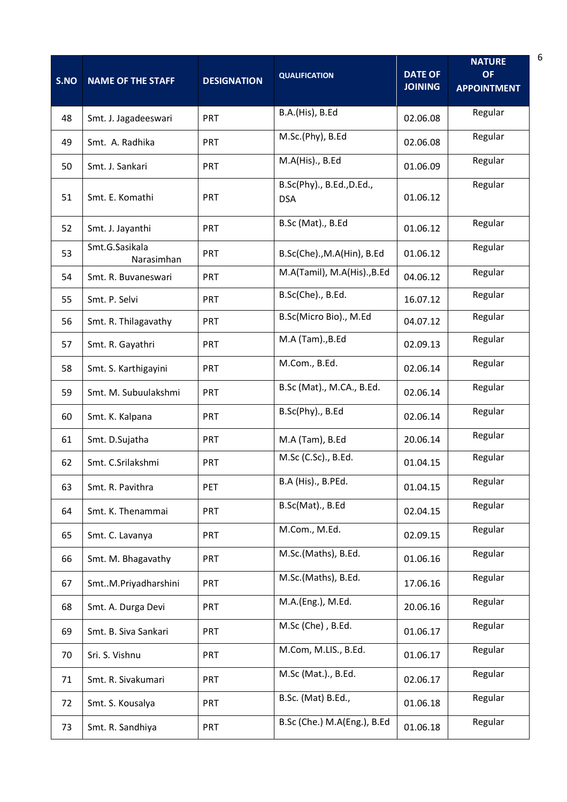| S.NO | <b>NAME OF THE STAFF</b>     | <b>DESIGNATION</b> | <b>QUALIFICATION</b>                    | <b>DATE OF</b><br><b>JOINING</b> | <b>NATURE</b><br><b>OF</b><br><b>APPOINTMENT</b> |
|------|------------------------------|--------------------|-----------------------------------------|----------------------------------|--------------------------------------------------|
| 48   | Smt. J. Jagadeeswari         | PRT                | B.A.(His), B.Ed                         | 02.06.08                         | Regular                                          |
| 49   | Smt. A. Radhika              | PRT                | M.Sc.(Phy), B.Ed                        | 02.06.08                         | Regular                                          |
| 50   | Smt. J. Sankari              | PRT                | M.A(His)., B.Ed                         | 01.06.09                         | Regular                                          |
| 51   | Smt. E. Komathi              | PRT                | B.Sc(Phy)., B.Ed., D.Ed.,<br><b>DSA</b> | 01.06.12                         | Regular                                          |
| 52   | Smt. J. Jayanthi             | PRT                | B.Sc (Mat)., B.Ed                       | 01.06.12                         | Regular                                          |
| 53   | Smt.G.Sasikala<br>Narasimhan | <b>PRT</b>         | B.Sc(Che)., M.A(Hin), B.Ed              | 01.06.12                         | Regular                                          |
| 54   | Smt. R. Buvaneswari          | PRT                | M.A(Tamil), M.A(His)., B.Ed             | 04.06.12                         | Regular                                          |
| 55   | Smt. P. Selvi                | <b>PRT</b>         | B.Sc(Che)., B.Ed.                       | 16.07.12                         | Regular                                          |
| 56   | Smt. R. Thilagavathy         | PRT                | B.Sc(Micro Bio)., M.Ed                  | 04.07.12                         | Regular                                          |
| 57   | Smt. R. Gayathri             | PRT                | M.A (Tam)., B.Ed                        | 02.09.13                         | Regular                                          |
| 58   | Smt. S. Karthigayini         | PRT                | M.Com., B.Ed.                           | 02.06.14                         | Regular                                          |
| 59   | Smt. M. Subuulakshmi         | PRT                | B.Sc (Mat)., M.CA., B.Ed.               | 02.06.14                         | Regular                                          |
| 60   | Smt. K. Kalpana              | <b>PRT</b>         | B.Sc(Phy)., B.Ed                        | 02.06.14                         | Regular                                          |
| 61   | Smt. D.Sujatha               | PRT                | M.A (Tam), B.Ed                         | 20.06.14                         | Regular                                          |
| 62   | Smt. C.Srilakshmi            | PRT                | M.Sc (C.Sc)., B.Ed.                     | 01.04.15                         | Regular                                          |
| 63   | Smt. R. Pavithra             | <b>PET</b>         | B.A (His)., B.PEd.                      | 01.04.15                         | Regular                                          |
| 64   | Smt. K. Thenammai            | <b>PRT</b>         | B.Sc(Mat)., B.Ed                        | 02.04.15                         | Regular                                          |
| 65   | Smt. C. Lavanya              | <b>PRT</b>         | M.Com., M.Ed.                           | 02.09.15                         | Regular                                          |
| 66   | Smt. M. Bhagavathy           | <b>PRT</b>         | M.Sc.(Maths), B.Ed.                     | 01.06.16                         | Regular                                          |
| 67   | SmtM.Priyadharshini          | <b>PRT</b>         | M.Sc.(Maths), B.Ed.                     | 17.06.16                         | Regular                                          |
| 68   | Smt. A. Durga Devi           | <b>PRT</b>         | M.A.(Eng.), M.Ed.                       | 20.06.16                         | Regular                                          |
| 69   | Smt. B. Siva Sankari         | <b>PRT</b>         | M.Sc (Che), B.Ed.                       | 01.06.17                         | Regular                                          |
| 70   | Sri. S. Vishnu               | <b>PRT</b>         | M.Com, M.LIS., B.Ed.                    | 01.06.17                         | Regular                                          |
| 71   | Smt. R. Sivakumari           | <b>PRT</b>         | M.Sc (Mat.)., B.Ed.                     | 02.06.17                         | Regular                                          |
| 72   | Smt. S. Kousalya             | <b>PRT</b>         | B.Sc. (Mat) B.Ed.,                      | 01.06.18                         | Regular                                          |
| 73   | Smt. R. Sandhiya             | <b>PRT</b>         | B.Sc (Che.) M.A(Eng.), B.Ed             | 01.06.18                         | Regular                                          |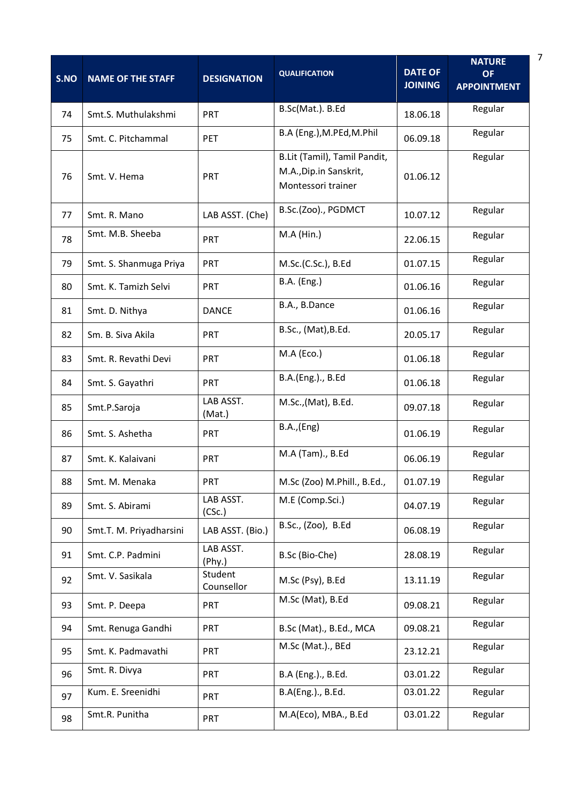| S.NO | <b>NAME OF THE STAFF</b> | <b>DESIGNATION</b>    | <b>QUALIFICATION</b>                                                         | <b>DATE OF</b><br><b>JOINING</b> | <b>NATURE</b><br>OF.<br><b>APPOINTMENT</b> |
|------|--------------------------|-----------------------|------------------------------------------------------------------------------|----------------------------------|--------------------------------------------|
| 74   | Smt.S. Muthulakshmi      | PRT                   | B.Sc(Mat.). B.Ed                                                             | 18.06.18                         | Regular                                    |
| 75   | Smt. C. Pitchammal       | <b>PET</b>            | B.A (Eng.), M.PEd, M.Phil                                                    | 06.09.18                         | Regular                                    |
| 76   | Smt. V. Hema             | <b>PRT</b>            | B.Lit (Tamil), Tamil Pandit,<br>M.A., Dip.in Sanskrit,<br>Montessori trainer | 01.06.12                         | Regular                                    |
| 77   | Smt. R. Mano             | LAB ASST. (Che)       | B.Sc.(Zoo)., PGDMCT                                                          | 10.07.12                         | Regular                                    |
| 78   | Smt. M.B. Sheeba         | <b>PRT</b>            | $M.A$ (Hin.)                                                                 | 22.06.15                         | Regular                                    |
| 79   | Smt. S. Shanmuga Priya   | <b>PRT</b>            | M.Sc.(C.Sc.), B.Ed                                                           | 01.07.15                         | Regular                                    |
| 80   | Smt. K. Tamizh Selvi     | <b>PRT</b>            | <b>B.A.</b> (Eng.)                                                           | 01.06.16                         | Regular                                    |
| 81   | Smt. D. Nithya           | <b>DANCE</b>          | B.A., B.Dance                                                                | 01.06.16                         | Regular                                    |
| 82   | Sm. B. Siva Akila        | PRT                   | B.Sc., (Mat), B.Ed.                                                          | 20.05.17                         | Regular                                    |
| 83   | Smt. R. Revathi Devi     | <b>PRT</b>            | M.A (Eco.)                                                                   | 01.06.18                         | Regular                                    |
| 84   | Smt. S. Gayathri         | <b>PRT</b>            | B.A.(Eng.)., B.Ed                                                            | 01.06.18                         | Regular                                    |
| 85   | Smt.P.Saroja             | LAB ASST.<br>(Mat.)   | M.Sc., (Mat), B.Ed.                                                          | 09.07.18                         | Regular                                    |
| 86   | Smt. S. Ashetha          | <b>PRT</b>            | B.A., (Eng)                                                                  | 01.06.19                         | Regular                                    |
| 87   | Smt. K. Kalaivani        | PRT                   | M.A (Tam)., B.Ed                                                             | 06.06.19                         | Regular                                    |
| 88   | Smt. M. Menaka           | PRT                   | M.Sc (Zoo) M.Phill., B.Ed.,                                                  | 01.07.19                         | Regular                                    |
| 89   | Smt. S. Abirami          | LAB ASST.<br>(CSc.)   | M.E (Comp.Sci.)                                                              | 04.07.19                         | Regular                                    |
| 90   | Smt.T. M. Priyadharsini  | LAB ASST. (Bio.)      | B.Sc., (Zoo), B.Ed                                                           | 06.08.19                         | Regular                                    |
| 91   | Smt. C.P. Padmini        | LAB ASST.<br>(Phy.)   | B.Sc (Bio-Che)                                                               | 28.08.19                         | Regular                                    |
| 92   | Smt. V. Sasikala         | Student<br>Counsellor | M.Sc (Psy), B.Ed                                                             | 13.11.19                         | Regular                                    |
| 93   | Smt. P. Deepa            | PRT                   | M.Sc (Mat), B.Ed                                                             | 09.08.21                         | Regular                                    |
| 94   | Smt. Renuga Gandhi       | <b>PRT</b>            | B.Sc (Mat)., B.Ed., MCA                                                      | 09.08.21                         | Regular                                    |
| 95   | Smt. K. Padmavathi       | <b>PRT</b>            | M.Sc (Mat.)., BEd                                                            | 23.12.21                         | Regular                                    |
| 96   | Smt. R. Divya            | PRT                   | B.A (Eng.)., B.Ed.                                                           | 03.01.22                         | Regular                                    |
| 97   | Kum. E. Sreenidhi        | <b>PRT</b>            | B.A(Eng.)., B.Ed.                                                            | 03.01.22                         | Regular                                    |
| 98   | Smt.R. Punitha           | PRT                   | M.A(Eco), MBA., B.Ed                                                         | 03.01.22                         | Regular                                    |

7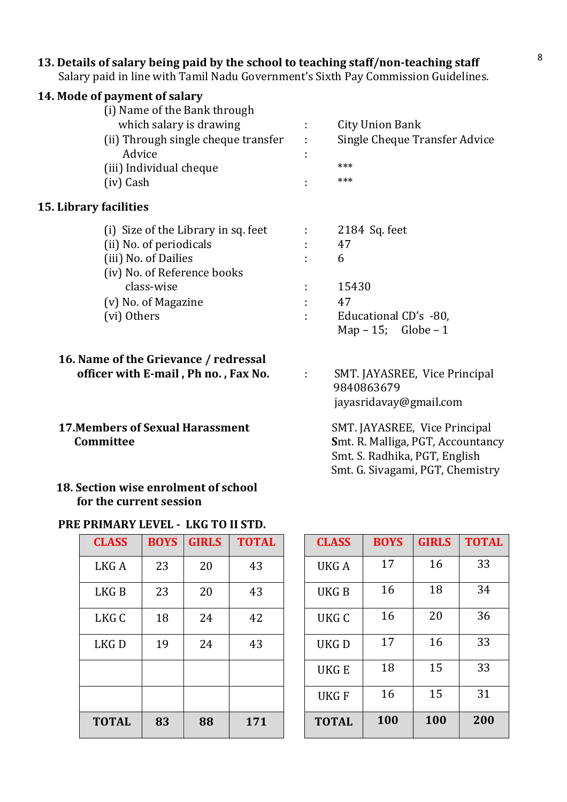# 13. Details of salary being paid by the school to teaching staff/non-teaching staff states of  $8$

Salary paid in line with Tamil Nadu Government's Sixth Pay Commission Guidelines.

| 14. Mode of payment of salary                 |                |                               |
|-----------------------------------------------|----------------|-------------------------------|
| (i) Name of the Bank through                  |                |                               |
| which salary is drawing                       | ÷              | City Union Bank               |
| (ii) Through single cheque transfer<br>Advice | ÷<br>÷         | Single Cheque Transfer Advice |
| (iii) Individual cheque                       |                | ***                           |
| (iv) Cash                                     |                | ***                           |
| <b>15. Library facilities</b>                 |                |                               |
| (i) Size of the Library in sq. feet           |                | 2184 Sq. feet                 |
| (ii) No. of periodicals                       |                | 47                            |
| (iii) No. of Dailies                          |                | 6                             |
| (iv) No. of Reference books                   |                |                               |
| class-wise                                    |                | 15430                         |
| (v) No. of Magazine                           | $\blacksquare$ | 47                            |
| (vi) Others                                   | ٠              | Educational CD's -80,         |
|                                               |                | Map $-15$ ; Globe $-1$        |
|                                               |                |                               |

#### 16. Name of the Grievance / redressal officer with E-mail, Ph no., Fax No. : SMT. JAYASREE, Vice Principal

#### 18. Section wise enrolment of school for the current session

#### PRE PRIMARY LEVEL - LKG TO II STD.

| <b>CLASS</b>     | <b>BOYS</b> | <b>GIRLS</b> | <b>TOTAL</b> |
|------------------|-------------|--------------|--------------|
| LKG A            | 23          | 20           | 43           |
| LKG <sub>B</sub> | 23          | 20           | 43           |
| LKG C            | 18          | 24           | 42           |
| LKG <sub>D</sub> | 19          | 24           | 43           |
|                  |             |              |              |
|                  |             |              |              |
| <b>TOTAL</b>     | 83          | 88           | 171          |

 jayasridavay@gmail.com 17. Members of Sexual Harassment SMT. JAYASREE, Vice Principal Committee Smt. R. Malliga, PGT, Accountancy Smt. S. Radhika, PGT, English Smt. G. Sivagami, PGT, Chemistry

9840863679

| <b>CLASS</b> | <b>BOYS</b> | <b>GIRLS</b> | <b>TOTAL</b> | <b>CLASS</b> | <b>BOYS</b> | <b>GIRLS</b> | <b>TOTAL</b> |
|--------------|-------------|--------------|--------------|--------------|-------------|--------------|--------------|
| LKG A        | 23          | 20           | 43           | UKG A        | 17          | 16           | 33           |
| LKG B        | 23          | 20           | 43           | UKG B        | 16          | 18           | 34           |
| LKG C        | 18          | 24           | 42           | UKG C        | 16          | 20           | 36           |
| LKG D        | 19          | 24           | 43           | UKG D        | 17          | 16           | 33           |
|              |             |              |              | UKG E        | 18          | 15           | 33           |
|              |             |              |              | <b>UKGF</b>  | 16          | 15           | 31           |
| <b>TOTAL</b> | 83          | 88           | 171          | <b>TOTAL</b> | 100         | 100          | 200          |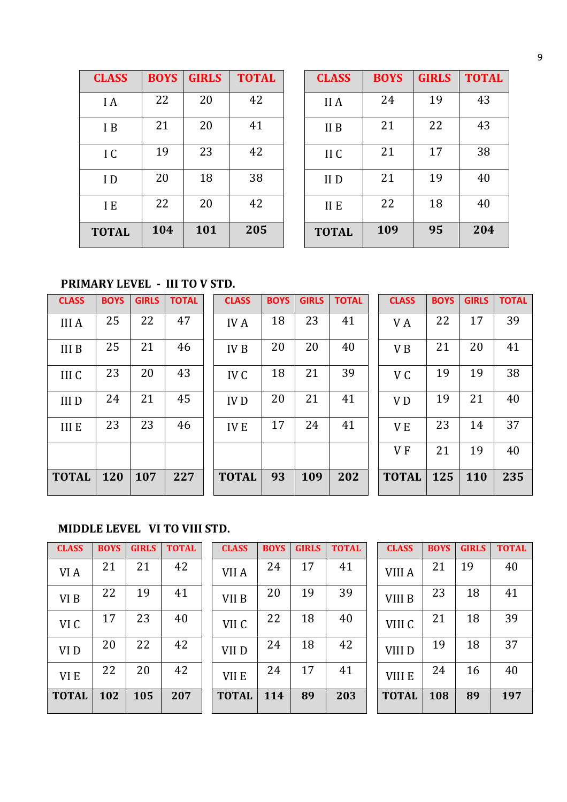| <b>CLASS</b> | <b>BOYS</b> | <b>GIRLS</b> | <b>TOTAL</b> |
|--------------|-------------|--------------|--------------|
| I A          | 22          | 20           | 42           |
| I B          | 21          | 20           | 41           |
| I C          | 19          | 23           | 42           |
| I D          | 20          | 18           | 38           |
| I E          | 22          | 20           | 42           |
| <b>TOTAL</b> | 104         | 101          | 205          |

| <b>CLASS</b> | <b>BOYS</b> | <b>GIRLS</b> | <b>TOTAL</b> | <b>CLASS</b> | <b>BOYS</b> | <b>GIRLS</b> | <b>TOTAL</b> |
|--------------|-------------|--------------|--------------|--------------|-------------|--------------|--------------|
| I A          | 22          | 20           | 42           | II A         | 24          | 19           | 43           |
| I B          | 21          | 20           | 41           | II B         | 21          | 22           | 43           |
| IC           | 19          | 23           | 42           | II C         | 21          | 17           | 38           |
| ID           | 20          | 18           | 38           | II D         | 21          | 19           | 40           |
| I E          | 22          | 20           | 42           | II E         | 22          | 18           | 40           |
| <b>TOTAL</b> | 104         | 101          | 205          | <b>TOTAL</b> | 109         | 95           | 204          |

## PRIMARY LEVEL - III TO V STD.

| <b>CLASS</b> | <b>BOYS</b> | <b>GIRLS</b> | <b>TOTAL</b> | <b>CLASS</b>    | <b>BOYS</b> | <b>GIRLS</b> | <b>TOTAL</b> | <b>CLASS</b>   | <b>BOYS</b> | <b>GIRLS</b> | <b>TOTAL</b> |
|--------------|-------------|--------------|--------------|-----------------|-------------|--------------|--------------|----------------|-------------|--------------|--------------|
| <b>III</b> A | 25          | 22           | 47           | <b>IVA</b>      | 18          | 23           | 41           | V A            | 22          | 17           | 39           |
| <b>IIIB</b>  | 25          | 21           | 46           | IV <sub>B</sub> | 20          | 20           | 40           | V <sub>B</sub> | 21          | 20           | 41           |
| III C        | 23          | 20           | 43           | IV <sub>C</sub> | 18          | 21           | 39           | V C            | 19          | 19           | 38           |
| <b>IIID</b>  | 24          | 21           | 45           | <b>IVD</b>      | 20          | 21           | 41           | V <sub>D</sub> | 19          | 21           | 40           |
| <b>IIIE</b>  | 23          | 23           | 46           | <b>IVE</b>      | 17          | 24           | 41           | V E            | 23          | 14           | 37           |
|              |             |              |              |                 |             |              |              | V <sub>F</sub> | 21          | 19           | 40           |
| <b>TOTAL</b> | 120         | 107          | 227          | <b>TOTAL</b>    | 93          | 109          | 202          | <b>TOTAL</b>   | 125         | <b>110</b>   | 235          |

## MIDDLE LEVEL VI TO VIII STD.

| <b>CLASS</b>    | <b>BOYS</b> | <b>GIRLS</b> | <b>TOTAL</b> |
|-----------------|-------------|--------------|--------------|
| VI A            | 21          | 21           | 42           |
| VI B            | 22          | 19           | 41           |
| VI C            | 17          | 23           | 40           |
| VI <sub>D</sub> | 20          | 22           | 42           |
| VI E            | 22          | 20           | 42           |
| <b>TOTAL</b>    | 102         | 105          | 207          |

| <b>CLASS</b> | <b>BOYS</b> 1 | <b>GIRLS</b> | TOTAL | <b>CLASS</b>     | <b>BOYS</b> | <b>GIRLS</b> | TOTAL | <b>CLASS</b> | <b>BOYS</b> | <b>GIRLS</b> | TOTAL |
|--------------|---------------|--------------|-------|------------------|-------------|--------------|-------|--------------|-------------|--------------|-------|
| VI A         | 21            | 21           | 42    | VII A            | 24          | 17           | 41    | VIII A       | 21          | 19           | 40    |
| VI B         | 22            | 19           | 41    | VII <sub>B</sub> | 20          | 19           | 39    | VIII B       | 23          | 18           | 41    |
| VI C         | 17            | 23           | 40    | VII C            | 22          | 18           | 40    | VIII C       | 21          | 18           | 39    |
| VI D         | 20            | 22           | 42    | VII <sub>D</sub> | 24          | 18           | 42    | VIII D       | 19          | 18           | 37    |
| VI E         | 22            | 20           | 42    | VII E            | 24          | 17           | 41    | VIII E       | 24          | 16           | 40    |
| <b>TOTAL</b> | 102           | 105          | 207   | <b>TOTAL</b>     | 114         | 89           | 203   | <b>TOTAL</b> | 108         | 89           | 197   |

| <b>CLASS</b> | <b>BOYS</b> | <b>GIRLS</b> | <b>TOTAL</b> | <b>CLASS</b>     | <b>BOYS</b> | <b>GIRLS</b> | <b>TOTAL</b> | <b>CLASS</b> | <b>BOYS</b> | <b>GIRLS</b> | <b>TOTAL</b> |
|--------------|-------------|--------------|--------------|------------------|-------------|--------------|--------------|--------------|-------------|--------------|--------------|
| VI A         | 21          | 21           | 42           | VII A            | 24          | 17           | 41           | VIII A       | 21          | 19           | 40           |
| VI B         | 22          | 19           | 41           | VII <sub>B</sub> | 20          | 19           | 39           | VIII B       | 23          | 18           | 41           |
| VI C         | 17          | 23           | 40           | VII C            | 22          | 18           | 40           | VIII C       | 21          | 18           | 39           |
| VI D         | 20          | 22           | 42           | VII <sub>D</sub> | 24          | 18           | 42           | VIII D       | 19          | 18           | 37           |
| VI E         | 22          | 20           | 42           | VII E            | 24          | 17           | 41           | VIII E       | 24          | 16           | 40           |
| <b>OTAL</b>  | 102         | 105          | 207          | <b>TOTAL</b>     | 114         | 89           | 203          | <b>TOTAL</b> | 108         | 89           | 197          |